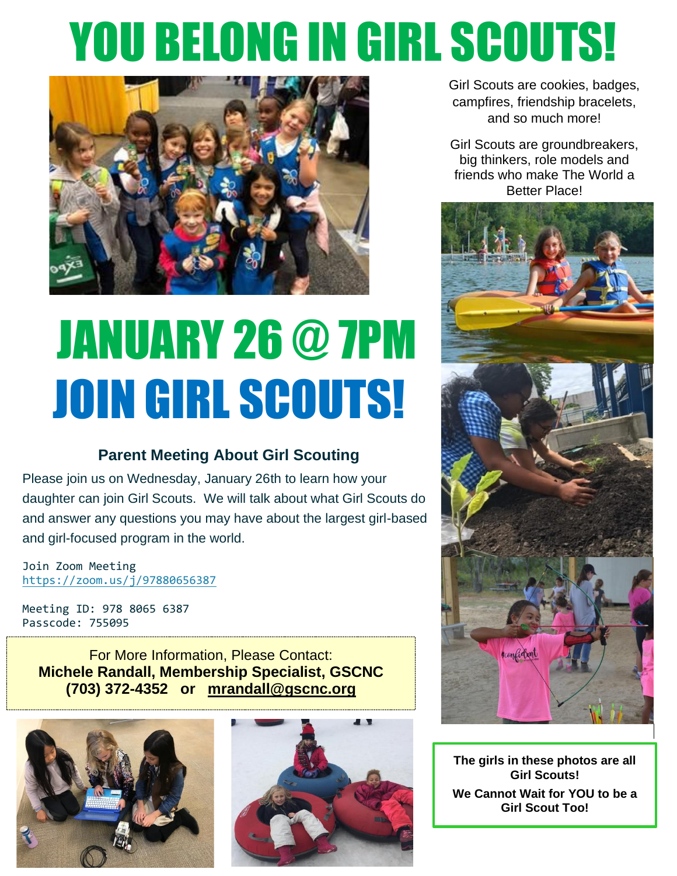# YOU BELONG IN GIRL SCOUTS!



# JANUARY 26 @ 7PM JOIN GIRL SCOUTS!

#### **Parent Meeting About Girl Scouting**

Please join us on Wednesday, January 26th to learn how your daughter can join Girl Scouts. We will talk about what Girl Scouts do and answer any questions you may have about the largest girl-based and girl-focused program in the world.

Join Zoom Meeting <https://zoom.us/j/97880656387>

Meeting ID: 978 8065 6387 Passcode: 755095

For More Information, Please Contact: **Michele Randall, Membership Specialist, GSCNC (703) 372-4352 or [mrandall@gscnc.org](mailto:mrandall@gscnc.org)**





Girl Scouts are cookies, badges, campfires, friendship bracelets, and so much more!

Girl Scouts are groundbreakers, big thinkers, role models and friends who make The World a Better Place!



 **The girls in these photos are all Girl Scouts! We Cannot Wait for YOU to be a Girl Scout Too!**